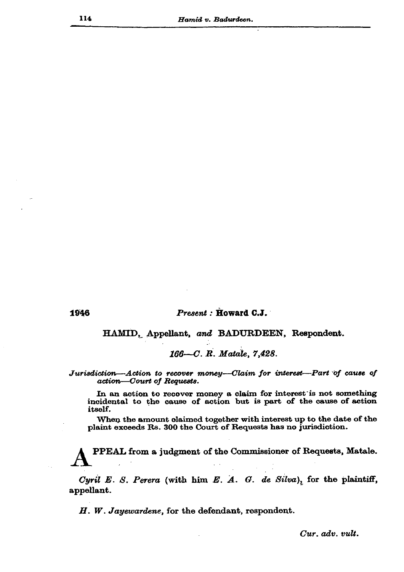1946

## Present : Howard C.J.

HAMID, Appellant, and BADURDEEN, Respondent.

166-C. R. Matale, 7,428.

Jurisdiction—Action to recover money—Claim for interest—Part of cause of action-Court of Requests.

In an action to recover money a claim for interest is not something incidental to the cause of action but is part of the cause of action itself.

When the amount olaimed together with interest up to the date of the plaint exceeds Rs. 300 the Court of Requests has no jurisdiction.

PPEAL from a judgment of the Commissioner of Requests, Matale.

Cyril E. S. Perera (with him E. A. G. de Silva), for the plaintiff, appellant.

 $H.$  W. Jayewardene, for the defendant, respondent.

Cur. adv. vult.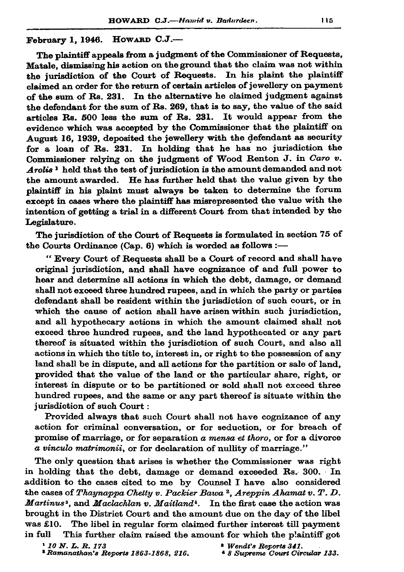## HOWARD  $C.J.$ — February 1. 1946.

The plaintiff appeals from a judgment of the Commissioner of Requests. Matale, dismissing his action on the ground that the claim was not within the invisdiction of the Court of Requests. In his plaint the plaintiff claimed an order for the return of certain articles of jewellery on payment of the sum of Rs. 231. In the alternative he claimed judgment against the defendant for the sum of Rs. 269, that is to say, the value of the said articles Rs. 500 less the sum of Rs. 231. It would appear from the evidence which was accepted by the Commissioner that the plaintiff on August 16, 1939, deposited the jewellery with the defendant as security for a loan of Rs. 231. In holding that he has no jurisdiction the Commissioner relying on the judgment of Wood Renton J. in Caro v. Arolis<sup>1</sup> held that the test of jurisdiction is the amount demanded and not the amount awarded. He has further held that the value given by the plaintiff in his plaint must always be taken to determine the forum except in cases where the plaintiff has misrepresented the value with the intention of getting a trial in a different Court from that intended by the Legislature.

The jurisdiction of the Court of Requests is formulated in section 75 of the Courts Ordinance (Cap. 6) which is worded as follows :-

" Every Court of Requests shall be a Court of record and shall have original jurisdiction, and shall have cognizance of and full power to hear and determine all actions in which the debt, damage, or demand shall not exceed three hundred rupees, and in which the party or parties defendant shall be resident within the jurisdiction of such court, or in which the cause of action shall have arisen within such jurisdiction. and all hypothecary actions in which the amount claimed shall not exceed three hundred rupees, and the land hypothecated or any part thereof is situated within the jurisdiction of such Court, and also all actions in which the title to, interest in, or right to the possession of any land shall be in dispute, and all actions for the partition or sale of land, provided that the value of the land or the particular share, right, or interest in dispute or to be partitioned or sold shall not exceed three hundred rupees, and the same or any part thereof is situate within the jurisdiction of such Court:

Provided always that such Court shall not have cognizance of any action for criminal conversation, or for seduction, or for breach of promise of marriage, or for separation  $a$  mensa et thoro, or for a divorce a vinculo matrimonii, or for declaration of nullity of marriage."

The only question that arises is whether the Commissioner was right in holding that the debt, damage or demand exceeded Rs. 300. In addition to the cases cited to me by Counsel I have also considered the cases of Thaynappa Chetty v. Packier Bawa<sup>2</sup>, Areppin Ahamat v. T. D. Martinus<sup>3</sup>, and Maclachlan v. Maitland<sup>3</sup>. In the first case the action was brought in the District Court and the amount due on the day of the libel The libel in regular form claimed further interest till payment  $was £10.$ This further claim raised the amount for which the plaintiff got in full

 $'10 N. L. R. 173$ <sup>2</sup> Ramanathan's Reports 1863-1868, 216.

<sup>&</sup>lt;sup>a</sup> Wendt's Revorts 341.

<sup>&</sup>lt;sup>4</sup> 8 Supreme Court Circular 133.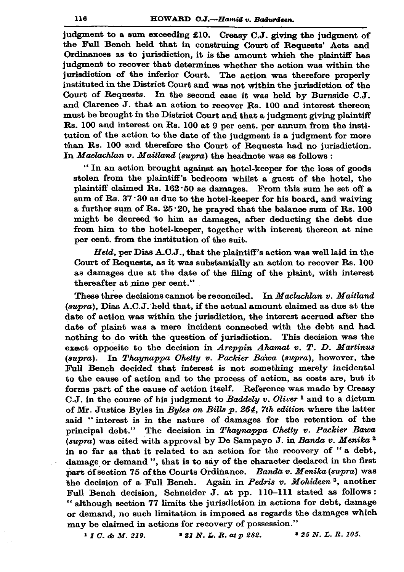judgment to a sum exceeding £10. Creasy C.J. giving the judgment of the Full Bench held that in construing Court of Requests' Acts and Ordinances as to jurisdiction, it is the amount which the plaintiff has judgment to recover that determines whether the action was within the jurisdiction of the inferior Court. The action was therefore properly instituted in the District Court and was not within the jurisdiction of the Court of Requests. In the second case it was held by Burnside C.J. and Clarence J. that an action to recover Rs. 100 and interest thereon must be brought in the District Court and that a judgment giving plaintiff Rs. 100 and interest on Rs. 100 at 9 per cent. per annum from the institution of the action to the date of the judgment is a judgment for more than Rs. 100 and therefore the Court of Requests had no jurisdiction. In Maclachlan v. Maitland (supra) the headnote was as follows :

"In an action brought against an hotel-keeper for the loss of goods stolen from the plaintiff's bedroom whilst a guest of the hotel, the plaintiff claimed Rs. 162.50 as damages. From this sum he set off a sum of Rs. 37:30 as due to the hotel-keeper for his board, and waiving a further sum of Rs.  $25 \cdot 20$ , he prayed that the balance sum of Rs. 100 might be decreed to him as damages, after deducting the debt due from him to the hotel-keeper, together with interest thereon at nine per cent. from the institution of the suit.

Held, per Dias A.C.J., that the plaintiff's action was well laid in the Court of Requests, as it was substantially an action to recover Rs. 100 as damages due at the date of the filing of the plaint, with interest thereafter at nine per cent."

These three decisions cannot be reconciled. In Maclachlan v. Maitland (supra), Dias A.C.J. held that, if the actual amount claimed as due at the date of action was within the jurisdiction, the interest accrued after the date of plaint was a mere incident connected with the debt and had nothing to do with the question of jurisdiction. This decision was the exact opposite to the decision in Areppin Ahamat v. T. D. Martinus (supra). In Thaynappa Chetty v. Packier Bawa (supra), however, the Full Bench decided that interest is not something merely incidental to the cause of action and to the process of action, as costs are, but it forms part of the cause of action itself. Reference was made by Creasy C.J. in the course of his judgment to Baddely v. Oliver<sup>1</sup> and to a dictum of Mr. Justice Byles in Byles on Bills p. 264, 7th edition where the latter said "interest is in the nature of damages for the retention of the principal debt." The decision in Thaynappa Chetty v. Packier Bawa (supra) was cited with approval by De Sampayo J. in Banda v. Menika<sup>2</sup> in so far as that it related to an action for the recovery of "a debt, damage or demand ", that is to say of the character declared in the first part of section 75 of the Courts Ordinance. Banda v. Menika (supra) was the decision of a Full Bench. Again in Pedris v. Mohideen<sup>3</sup>, another Full Bench decision, Schneider J. at pp. 110-111 stated as follows: "although section 77 limits the jurisdiction in actions for debt, damage or demand, no such limitation is imposed as regards the damages which may be claimed in actions for recovery of possession."

\* 25 N. L. R. 105.  $11C.$  & M. 219.  $121 N. L. R. at p 282.$